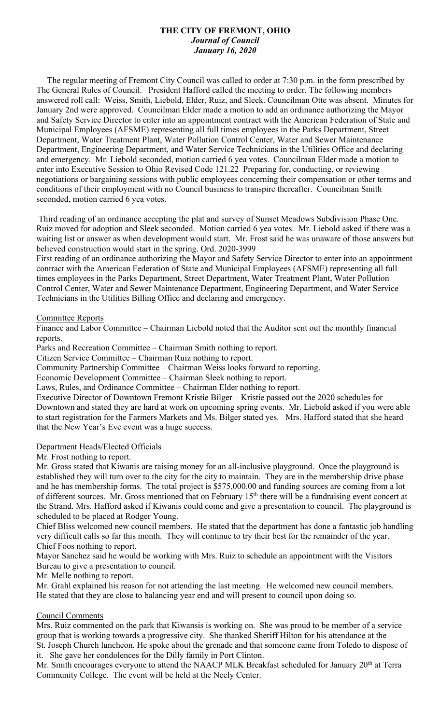# **THE CITY OF FREMONT, OHIO** *Journal of Council January 16, 2020*

 The regular meeting of Fremont City Council was called to order at 7:30 p.m. in the form prescribed by The General Rules of Council. President Hafford called the meeting to order. The following members answered roll call: Weiss, Smith, Liebold, Elder, Ruiz, and Sleek. Councilman Otte was absent. Minutes for January 2nd were approved. Councilman Elder made a motion to add an ordinance authorizing the Mayor and Safety Service Director to enter into an appointment contract with the American Federation of State and Municipal Employees (AFSME) representing all full times employees in the Parks Department, Street Department, Water Treatment Plant, Water Pollution Control Center, Water and Sewer Maintenance Department, Engineering Department, and Water Service Technicians in the Utilities Office and declaring and emergency. Mr. Liebold seconded, motion carried 6 yea votes. Councilman Elder made a motion to enter into Executive Session to Ohio Revised Code 121.22 Preparing for, conducting, or reviewing negotiations or bargaining sessions with public employees concerning their compensation or other terms and conditions of their employment with no Council business to transpire thereafter. Councilman Smith seconded, motion carried 6 yea votes.

Third reading of an ordinance accepting the plat and survey of Sunset Meadows Subdivision Phase One. Ruiz moved for adoption and Sleek seconded. Motion carried 6 yea votes. Mr. Liebold asked if there was a waiting list or answer as when development would start. Mr. Frost said he was unaware of those answers but believed construction would start in the spring. Ord. 2020-3999

First reading of an ordinance authorizing the Mayor and Safety Service Director to enter into an appointment contract with the American Federation of State and Municipal Employees (AFSME) representing all full times employees in the Parks Department, Street Department, Water Treatment Plant, Water Pollution Control Center, Water and Sewer Maintenance Department, Engineering Department, and Water Service Technicians in the Utilities Billing Office and declaring and emergency.

#### Committee Reports

Finance and Labor Committee – Chairman Liebold noted that the Auditor sent out the monthly financial reports.

Parks and Recreation Committee – Chairman Smith nothing to report.

Citizen Service Committee – Chairman Ruiz nothing to report.

Community Partnership Committee – Chairman Weiss looks forward to reporting.

Economic Development Committee – Chairman Sleek nothing to report.

Laws, Rules, and Ordinance Committee – Chairman Elder nothing to report.

Executive Director of Downtown Fremont Kristie Bilger – Kristie passed out the 2020 schedules for Downtown and stated they are hard at work on upcoming spring events. Mr. Liebold asked if you were able to start registration for the Farmers Markets and Ms. Bilger stated yes. Mrs. Hafford stated that she heard that the New Year's Eve event was a huge success.

### Department Heads/Elected Officials

Mr. Frost nothing to report.

Mr. Gross stated that Kiwanis are raising money for an all-inclusive playground. Once the playground is established they will turn over to the city for the city to maintain. They are in the membership drive phase and he has membership forms. The total project is \$575,000.00 and funding sources are coming from a lot of different sources. Mr. Gross mentioned that on February 15<sup>th</sup> there will be a fundraising event concert at the Strand. Mrs. Hafford asked if Kiwanis could come and give a presentation to council. The playground is scheduled to be placed at Rodger Young.

Chief Bliss welcomed new council members. He stated that the department has done a fantastic job handling very difficult calls so far this month. They will continue to try their best for the remainder of the year. Chief Foos nothing to report.

Mayor Sanchez said he would be working with Mrs. Ruiz to schedule an appointment with the Visitors Bureau to give a presentation to council.

Mr. Melle nothing to report.

Mr. Grahl explained his reason for not attending the last meeting. He welcomed new council members. He stated that they are close to balancing year end and will present to council upon doing so.

### Council Comments

Mrs. Ruiz commented on the park that Kiwansis is working on. She was proud to be member of a service group that is working towards a progressive city. She thanked Sheriff Hilton for his attendance at the St. Joseph Church luncheon. He spoke about the grenade and that someone came from Toledo to dispose of it. She gave her condolences for the Dilly family in Port Clinton.

Mr. Smith encourages everyone to attend the NAACP MLK Breakfast scheduled for January 20<sup>th</sup> at Terra Community College. The event will be held at the Neely Center.